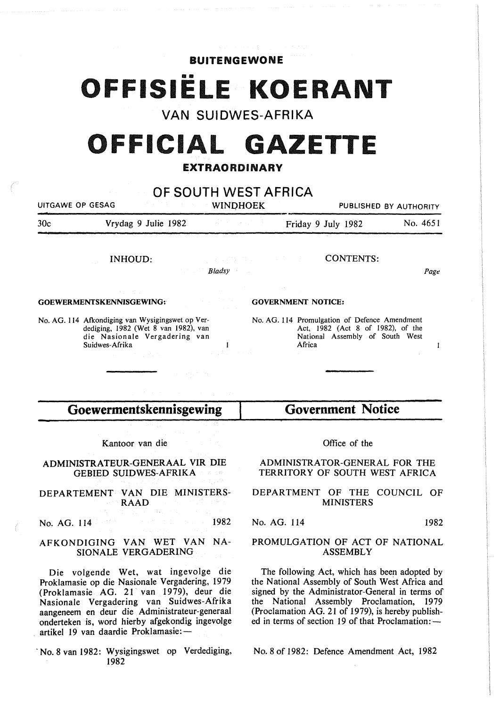### **BUITENGEWONE**

# **OFFISIELE KOERANT**

## **VAN SUIDWES-AFRIKA**

# **OFFICIAL GAZETTE**

## EXTRAORDINARY

| UITGAWE OP GESAG |                                                                                                                                                                              | OF SOUTH WEST AFRICA<br><b>WINDHOEK</b> |               |                           |                                                                                                                       | PUBLISHED BY AUTHORITY          |  |
|------------------|------------------------------------------------------------------------------------------------------------------------------------------------------------------------------|-----------------------------------------|---------------|---------------------------|-----------------------------------------------------------------------------------------------------------------------|---------------------------------|--|
| 30c              | Vrydag 9 Julie 1982                                                                                                                                                          |                                         |               |                           | Friday 9 July 1982                                                                                                    | No. 4651                        |  |
|                  | <b>INHOUD:</b>                                                                                                                                                               | 2000年1月<br><b>Example 2</b> Bladsy      |               |                           | <b>CONTENTS:</b>                                                                                                      | Page                            |  |
|                  | きょう 松原子<br><b>GOEWERMENTSKENNISGEWING:</b>                                                                                                                                   |                                         |               | <b>GOVERNMENT NOTICE:</b> |                                                                                                                       |                                 |  |
|                  | No. AG. 114 Afkondiging van Wysigingswet op Ver-<br>dediging, 1982 (Wet 8 van 1982), van<br>die Nasionale Vergadering van<br>Suidwes-Afrika<br><b>Controller State State</b> |                                         |               | Africa                    | No. AG. 114 Promulgation of Defence Amendment<br>Act, 1982 (Act 8 of 1982), of the<br>National Assembly of South West | 1                               |  |
|                  | Goewermentskennisgewing                                                                                                                                                      |                                         |               |                           | <b>Government Notice</b>                                                                                              |                                 |  |
|                  |                                                                                                                                                                              |                                         |               |                           |                                                                                                                       |                                 |  |
| Kantoor van die  |                                                                                                                                                                              |                                         | Office of the |                           |                                                                                                                       |                                 |  |
|                  | ADMINISTRATEUR-GENERAAL VIR DIE<br><b>GEBIED SUIDWES-AFRIKA</b>                                                                                                              |                                         |               |                           | ADMINISTRATOR-GENERAL FOR THE<br>TERRITORY OF SOUTH WEST AFRICA                                                       |                                 |  |
|                  | DEPARTEMENT VAN DIE MINISTERS-<br>RAAD                                                                                                                                       |                                         |               |                           | <b>MINISTERS</b>                                                                                                      | DEPARTMENT OF THE COUNCIL OF    |  |
|                  | 정치 정도 나는 것<br>No. AG. 114                                                                                                                                                    | 1982                                    | No. AG. 114   |                           |                                                                                                                       | 1982                            |  |
|                  | AEKONDIGING VAN WET VAN NA-                                                                                                                                                  |                                         |               |                           |                                                                                                                       | PROMILGATION OF ACT OF NATIONAL |  |

AFKONDIGING VAN WET VAN NA-SIONALE VERGADERING

Die volgende Wet, wat ingevolge die Proklamasie op die Nasionale Vergadering, 1979 (Proklamasie AG. 21 van 1979), deur die Nasionale Vergadering van Suidwes-Afrika aangeneem en deur die Administrateur-generaal onderteken is, word hierby afgekondig ingevolge artikel 19 van daardie Proklamasie:-

No. 8 van 1982: Wysigingswet op Verdediging, 1982

### PROMULGATION OF ACT OF NATIONAL ASSEMBLY

The following Act, which has been adopted by the National Assembly of South West Mrica and signed by the Administrator-General in terms of the National Assembly Proclamation, 1979 (Proclamation AG. 21 of 1979), is hereby published in terms of section 19 of that Proclamation:-

No.8 of 1982: Defence Amendment Act, 1982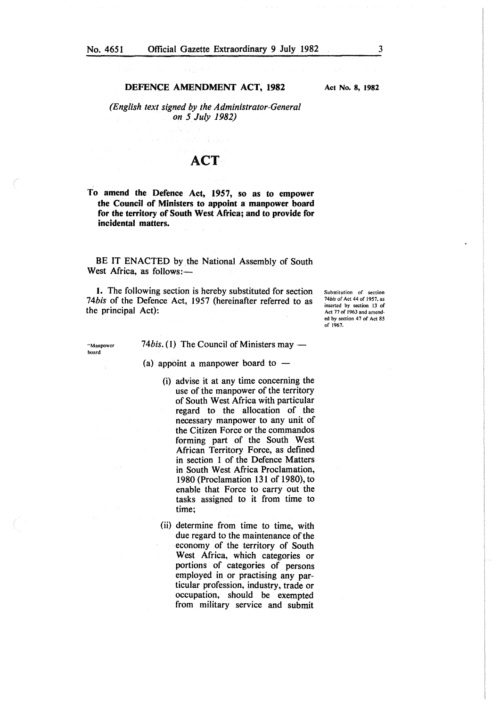#### DEFENCE AMENDMENT ACT, 1982

Act No. 8, 1982

*(English text signed by the Administrator-General on 5 July 1982)* 

## **ACT**

To amend the Defence Act, 1957, so as to empower the Council of Ministers to appoint a manpower board for the territory of South West Africa; and to provide for incidental matters.

BE IT ENACTED by the National Assembly of South West Africa, as follows:-

1. The following section is hereby substituted for section *14bis* of the Defence Act, 1957 (hereinafter referred to as the principal Act):

Substitution of section *14bis* of Act 44 of 1957. as inserted by section 13 of Act 17 of 1963 and amended by section 47 of Act 85 of 1967.

''Manpower board

74*bis.* (1) The Council of Ministers may —

(a) appoint a manpower board to  $-$ 

- (i) advise it at any time concerning the use of the manpower of the territory of South West Africa with particular regard to the allocation of the necessary manpower to any unit of the Citizen Force or the commandos forming part of the South West African Territory Force, as defined in section 1 of the Defence Matters in South West Africa Proclamation, 1980 (Proclamation 131 of 1980), to enable that Force to carry out the tasks assigned to it from time to time;
- (ii) determine from time to time, with due regard to the maintenance of the economy of the territory of South West Africa, which categories or portions of categories of persons employed in or practising any particular profession, industry, trade or occupation, should be exempted from military service and submit